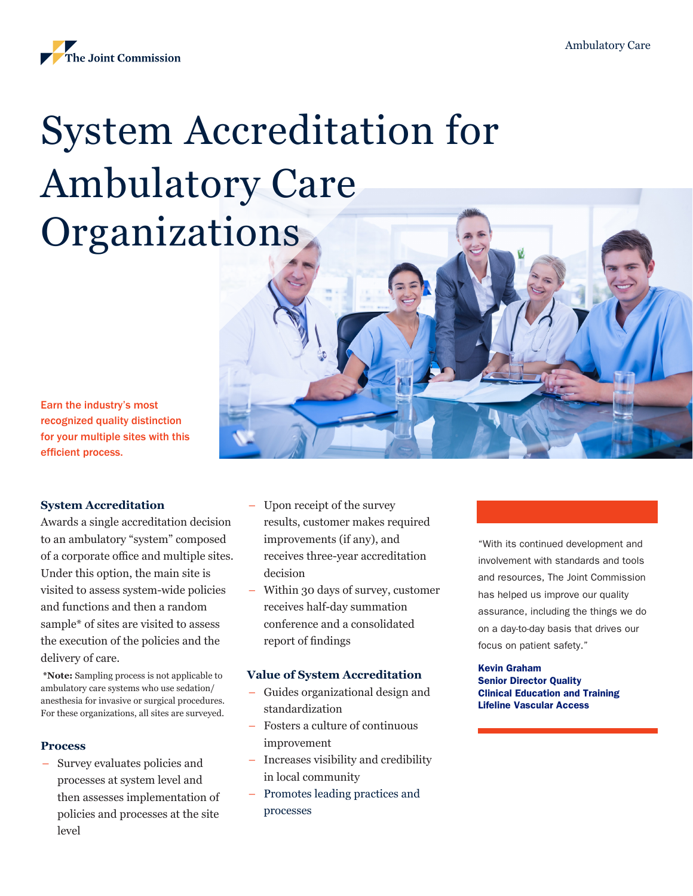

# System Accreditation for Ambulatory Care **Organizations**

Earn the industry's most recognized quality distinction for your multiple sites with this efficient process.

#### **System Accreditation**

Awards a single accreditation decision to an ambulatory "system" composed of a corporate office and multiple sites. Under this option, the main site is visited to assess system-wide policies and functions and then a random sample\* of sites are visited to assess the execution of the policies and the delivery of care.

**\*Note:** Sampling process is not applicable to ambulatory care systems who use sedation/ anesthesia for invasive or surgical procedures. For these organizations, all sites are surveyed.

#### **Process**

– Survey evaluates policies and processes at system level and then assesses implementation of policies and processes at the site level

- Upon receipt of the survey results, customer makes required improvements (if any), and receives three-year accreditation decision
- Within 30 days of survey, customer receives half-day summation conference and a consolidated report of findings

#### **Value of System Accreditation**

- Guides organizational design and standardization
- Fosters a culture of continuous improvement
- Increases visibility and credibility in local community
- Promotes leading practices and processes

"With its continued development and involvement with standards and tools and resources, The Joint Commission has helped us improve our quality assurance, including the things we do on a day-to-day basis that drives our focus on patient safety."

#### Kevin Graham

Senior Director Quality Clinical Education and Training Lifeline Vascular Access